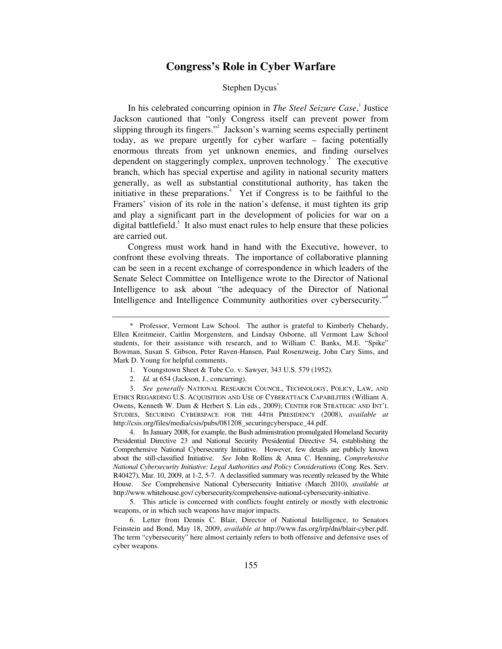# **Congress's Role in Cyber Warfare**

## Stephen Dycus<sup>\*</sup>

In his celebrated concurring opinion in *The Steel Seizure Case*,<sup>1</sup> Justice Jackson cautioned that "only Congress itself can prevent power from slipping through its fingers."<sup>2</sup> Jackson's warning seems especially pertinent today, as we prepare urgently for cyber warfare – facing potentially enormous threats from yet unknown enemies, and finding ourselves dependent on staggeringly complex, unproven technology.<sup>3</sup> The executive branch, which has special expertise and agility in national security matters generally, as well as substantial constitutional authority, has taken the initiative in these preparations. $4$  Yet if Congress is to be faithful to the Framers' vision of its role in the nation's defense, it must tighten its grip and play a significant part in the development of policies for war on a digital battlefield.<sup>5</sup> It also must enact rules to help ensure that these policies are carried out.

Congress must work hand in hand with the Executive, however, to confront these evolving threats. The importance of collaborative planning can be seen in a recent exchange of correspondence in which leaders of the Senate Select Committee on Intelligence wrote to the Director of National Intelligence to ask about "the adequacy of the Director of National Intelligence and Intelligence Community authorities over cybersecurity."6

- 1. Youngstown Sheet & Tube Co. v. Sawyer, 343 U.S. 579 (1952).
- 2. *Id.* at 654 (Jackson, J., concurring).

3. *See generally* NATIONAL RESEARCH COUNCIL, TECHNOLOGY, POLICY, LAW, AND ETHICS REGARDING U.S. ACQUISITION AND USE OF CYBERATTACK CAPABILITIES (William A. Owens, Kenneth W. Dam & Herbert S. Lin eds., 2009); CENTER FOR STRATEGIC AND INT'L STUDIES, SECURING CYBERSPACE FOR THE 44TH PRESIDENCY (2008), *available at* http://csis.org/files/media/csis/pubs/081208\_securingcyberspace\_44.pdf.

4. In January 2008, for example, the Bush administration promulgated Homeland Security Presidential Directive 23 and National Security Presidential Directive 54, establishing the Comprehensive National Cybersecurity Initiative. However, few details are publicly known about the still-classified Initiative. *See* John Rollins & Anna C. Henning, *Comprehensive National Cybersecurity Initiative: Legal Authorities and Policy Considerations* (Cong. Res. Serv. R40427), Mar. 10, 2009, at 1-2, 5-7. A declassified summary was recently released by the White House. *See* Comprehensive National Cybersecurity Initiative (March 2010), *available at* http://www.whitehouse.gov/ cybersecurity/comprehensive-national-cybersecurity-initiative.

5. This article is concerned with conflicts fought entirely or mostly with electronic weapons, or in which such weapons have major impacts.

6. Letter from Dennis C. Blair, Director of National Intelligence, to Senators Feinstein and Bond, May 18, 2009, *available at* http://www.fas.org/irp/dni/blair-cyber.pdf. The term "cybersecurity" here almost certainly refers to both offensive and defensive uses of cyber weapons.

<sup>\*</sup> Professor, Vermont Law School. The author is grateful to Kimberly Chehardy, Ellen Kreitmeier, Caitlin Morgenstern, and Lindsay Osborne, all Vermont Law School students, for their assistance with research, and to William C. Banks, M.E. "Spike" Bowman, Susan S. Gibson, Peter Raven-Hansen, Paul Rosenzweig, John Cary Sims, and Mark D. Young for helpful comments.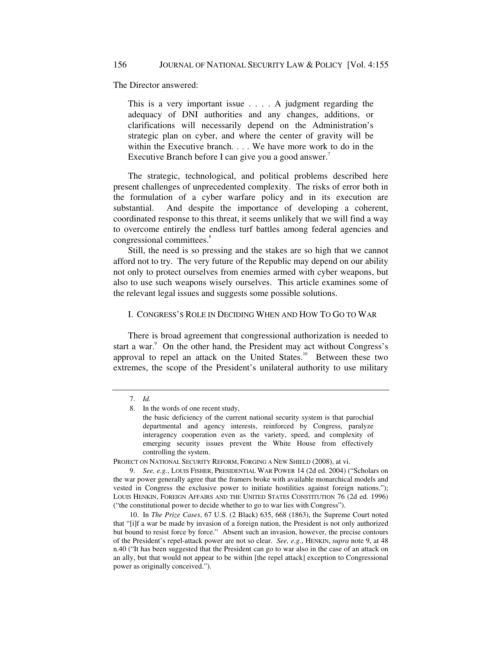The Director answered:

This is a very important issue . . . . A judgment regarding the adequacy of DNI authorities and any changes, additions, or clarifications will necessarily depend on the Administration's strategic plan on cyber, and where the center of gravity will be within the Executive branch. . . . We have more work to do in the Executive Branch before I can give you a good answer.<sup>7</sup>

The strategic, technological, and political problems described here present challenges of unprecedented complexity. The risks of error both in the formulation of a cyber warfare policy and in its execution are substantial. And despite the importance of developing a coherent, coordinated response to this threat, it seems unlikely that we will find a way to overcome entirely the endless turf battles among federal agencies and congressional committees.<sup>8</sup>

Still, the need is so pressing and the stakes are so high that we cannot afford not to try. The very future of the Republic may depend on our ability not only to protect ourselves from enemies armed with cyber weapons, but also to use such weapons wisely ourselves. This article examines some of the relevant legal issues and suggests some possible solutions.

### I. CONGRESS'S ROLE IN DECIDING WHEN AND HOW TO GO TO WAR

There is broad agreement that congressional authorization is needed to start a war.<sup>9</sup> On the other hand, the President may act without Congress's approval to repel an attack on the United States.<sup>10</sup> Between these two extremes, the scope of the President's unilateral authority to use military

PROJECT ON NATIONAL SECURITY REFORM, FORGING A NEW SHIELD (2008), at vi.

9. *See, e.g.*, LOUIS FISHER, PRESIDENTIAL WAR POWER 14 (2d ed. 2004) ("Scholars on the war power generally agree that the framers broke with available monarchical models and vested in Congress the exclusive power to initiate hostilities against foreign nations."); LOUIS HENKIN, FOREIGN AFFAIRS AND THE UNITED STATES CONSTITUTION 76 (2d ed. 1996) ("the constitutional power to decide whether to go to war lies with Congress").

10. In *The Prize Cases*, 67 U.S. (2 Black) 635, 668 (1863), the Supreme Court noted that "[i]f a war be made by invasion of a foreign nation, the President is not only authorized but bound to resist force by force." Absent such an invasion, however, the precise contours of the President's repel-attack power are not so clear. *See, e.g.*, HENKIN, *supra* note 9, at 48 n.40 ("It has been suggested that the President can go to war also in the case of an attack on an ally, but that would not appear to be within [the repel attack] exception to Congressional power as originally conceived.").

<sup>7.</sup> *Id.*

<sup>8.</sup> In the words of one recent study,

the basic deficiency of the current national security system is that parochial departmental and agency interests, reinforced by Congress, paralyze interagency cooperation even as the variety, speed, and complexity of emerging security issues prevent the White House from effectively controlling the system.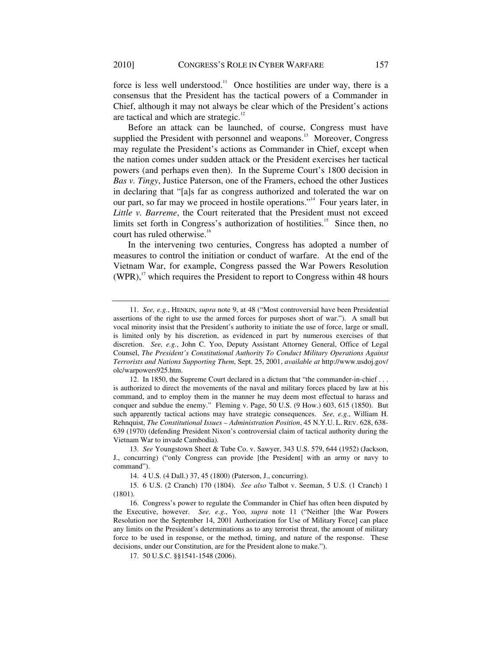force is less well understood.<sup>11</sup> Once hostilities are under way, there is a consensus that the President has the tactical powers of a Commander in Chief, although it may not always be clear which of the President's actions are tactical and which are strategic.<sup>12</sup>

Before an attack can be launched, of course, Congress must have supplied the President with personnel and weapons.<sup>13</sup> Moreover, Congress may regulate the President's actions as Commander in Chief, except when the nation comes under sudden attack or the President exercises her tactical powers (and perhaps even then). In the Supreme Court's 1800 decision in *Bas v. Tingy*, Justice Paterson, one of the Framers, echoed the other Justices in declaring that "[a]s far as congress authorized and tolerated the war on our part, so far may we proceed in hostile operations."<sup>14</sup> Four years later, in *Little v. Barreme*, the Court reiterated that the President must not exceed limits set forth in Congress's authorization of hostilities.<sup>15</sup> Since then, no court has ruled otherwise.<sup>16</sup>

In the intervening two centuries, Congress has adopted a number of measures to control the initiation or conduct of warfare. At the end of the Vietnam War, for example, Congress passed the War Powers Resolution  $(WPR)$ ,<sup>17</sup> which requires the President to report to Congress within 48 hours

<sup>11.</sup> *See, e.g.*, HENKIN, *supra* note 9, at 48 ("Most controversial have been Presidential assertions of the right to use the armed forces for purposes short of war."). A small but vocal minority insist that the President's authority to initiate the use of force, large or small, is limited only by his discretion, as evidenced in part by numerous exercises of that discretion. *See, e.g.*, John C. Yoo, Deputy Assistant Attorney General, Office of Legal Counsel, *The President's Constitutional Authority To Conduct Military Operations Against Terrorists and Nations Supporting Them*, Sept. 25, 2001, *available at* http://www.usdoj.gov/ olc/warpowers925.htm.

<sup>12.</sup> In 1850, the Supreme Court declared in a dictum that "the commander-in-chief . . . is authorized to direct the movements of the naval and military forces placed by law at his command, and to employ them in the manner he may deem most effectual to harass and conquer and subdue the enemy." Fleming v. Page, 50 U.S. (9 How.) 603, 615 (1850). But such apparently tactical actions may have strategic consequences. *See, e.g.*, William H. Rehnquist, *The Constitutional Issues – Administration Position*, 45 N.Y.U. L. REV. 628, 638- 639 (1970) (defending President Nixon's controversial claim of tactical authority during the Vietnam War to invade Cambodia).

<sup>13.</sup> *See* Youngstown Sheet & Tube Co. v. Sawyer, 343 U.S. 579, 644 (1952) (Jackson, J., concurring) ("only Congress can provide [the President] with an army or navy to command").

<sup>14.</sup> 4 U.S. (4 Dall.) 37, 45 (1800) (Paterson, J., concurring).

<sup>15.</sup> 6 U.S. (2 Cranch) 170 (1804). *See also* Talbot v. Seeman, 5 U.S. (1 Cranch) 1 (1801).

<sup>16.</sup> Congress's power to regulate the Commander in Chief has often been disputed by the Executive, however. *See, e.g.*, Yoo, *supra* note 11 ("Neither [the War Powers Resolution nor the September 14, 2001 Authorization for Use of Military Force] can place any limits on the President's determinations as to any terrorist threat, the amount of military force to be used in response, or the method, timing, and nature of the response. These decisions, under our Constitution, are for the President alone to make.").

<sup>17.</sup> 50 U.S.C. §§1541-1548 (2006).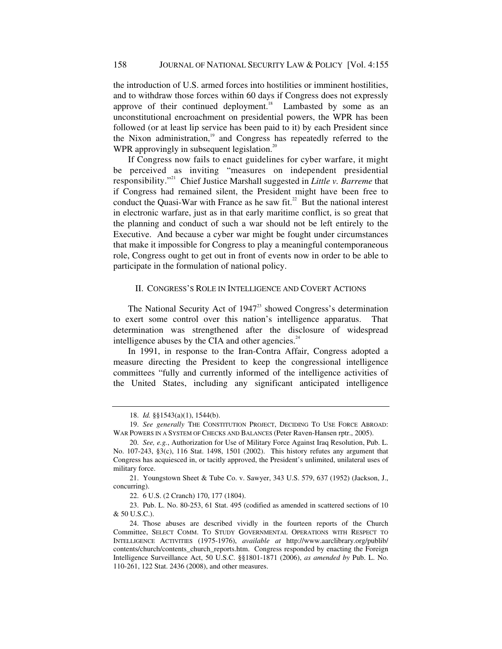the introduction of U.S. armed forces into hostilities or imminent hostilities, and to withdraw those forces within 60 days if Congress does not expressly approve of their continued deployment.<sup>18</sup> Lambasted by some as an unconstitutional encroachment on presidential powers, the WPR has been followed (or at least lip service has been paid to it) by each President since the Nixon administration,<sup>19</sup> and Congress has repeatedly referred to the WPR approvingly in subsequent legislation.<sup>20</sup>

If Congress now fails to enact guidelines for cyber warfare, it might be perceived as inviting "measures on independent presidential responsibility."21 Chief Justice Marshall suggested in *Little v. Barreme* that if Congress had remained silent, the President might have been free to conduct the Quasi-War with France as he saw fit.<sup>22</sup> But the national interest in electronic warfare, just as in that early maritime conflict, is so great that the planning and conduct of such a war should not be left entirely to the Executive. And because a cyber war might be fought under circumstances that make it impossible for Congress to play a meaningful contemporaneous role, Congress ought to get out in front of events now in order to be able to participate in the formulation of national policy.

# II. CONGRESS'S ROLE IN INTELLIGENCE AND COVERT ACTIONS

The National Security Act of  $1947<sup>23</sup>$  showed Congress's determination to exert some control over this nation's intelligence apparatus. That determination was strengthened after the disclosure of widespread intelligence abuses by the CIA and other agencies. $^{24}$ 

In 1991, in response to the Iran-Contra Affair, Congress adopted a measure directing the President to keep the congressional intelligence committees "fully and currently informed of the intelligence activities of the United States, including any significant anticipated intelligence

<sup>18.</sup> *Id.* §§1543(a)(1), 1544(b).

<sup>19.</sup> *See generally* THE CONSTITUTION PROJECT, DECIDING TO USE FORCE ABROAD: WAR POWERS IN A SYSTEM OF CHECKS AND BALANCES (Peter Raven-Hansen rptr., 2005).

<sup>20.</sup> *See, e.g.*, Authorization for Use of Military Force Against Iraq Resolution, Pub. L. No. 107-243, §3(c), 116 Stat. 1498, 1501 (2002). This history refutes any argument that Congress has acquiesced in, or tacitly approved, the President's unlimited, unilateral uses of military force.

<sup>21.</sup> Youngstown Sheet & Tube Co. v. Sawyer, 343 U.S. 579, 637 (1952) (Jackson, J., concurring).

<sup>22.</sup> 6 U.S. (2 Cranch) 170, 177 (1804).

<sup>23.</sup> Pub. L. No. 80-253, 61 Stat. 495 (codified as amended in scattered sections of 10 & 50 U.S.C.).

<sup>24.</sup> Those abuses are described vividly in the fourteen reports of the Church Committee, SELECT COMM. TO STUDY GOVERNMENTAL OPERATIONS WITH RESPECT TO INTELLIGENCE ACTIVITIES (1975-1976), *available at* http://www.aarclibrary.org/publib/ contents/church/contents\_church\_reports.htm. Congress responded by enacting the Foreign Intelligence Surveillance Act, 50 U.S.C. §§1801-1871 (2006), *as amended by* Pub. L. No. 110-261, 122 Stat. 2436 (2008), and other measures.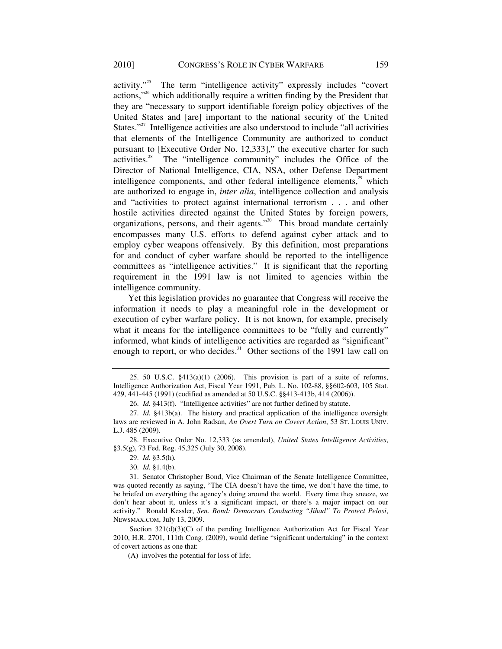activity."25 The term "intelligence activity" expressly includes "covert actions,"26 which additionally require a written finding by the President that they are "necessary to support identifiable foreign policy objectives of the United States and [are] important to the national security of the United States."<sup>27</sup> Intelligence activities are also understood to include "all activities" that elements of the Intelligence Community are authorized to conduct pursuant to [Executive Order No. 12,333]," the executive charter for such activities.28 The "intelligence community" includes the Office of the Director of National Intelligence, CIA, NSA, other Defense Department intelligence components, and other federal intelligence elements, $\frac{1}{2}$ <sup>9</sup> which are authorized to engage in, *inter alia*, intelligence collection and analysis and "activities to protect against international terrorism . . . and other hostile activities directed against the United States by foreign powers, organizations, persons, and their agents."30 This broad mandate certainly encompasses many U.S. efforts to defend against cyber attack and to employ cyber weapons offensively. By this definition, most preparations for and conduct of cyber warfare should be reported to the intelligence committees as "intelligence activities." It is significant that the reporting requirement in the 1991 law is not limited to agencies within the intelligence community.

Yet this legislation provides no guarantee that Congress will receive the information it needs to play a meaningful role in the development or execution of cyber warfare policy. It is not known, for example, precisely what it means for the intelligence committees to be "fully and currently" informed, what kinds of intelligence activities are regarded as "significant" enough to report, or who decides.<sup>31</sup> Other sections of the 1991 law call on

<sup>25. 50</sup> U.S.C. §413(a)(1) (2006). This provision is part of a suite of reforms, Intelligence Authorization Act, Fiscal Year 1991, Pub. L. No. 102-88, §§602-603, 105 Stat. 429, 441-445 (1991) (codified as amended at 50 U.S.C. §§413-413b, 414 (2006)).

<sup>26.</sup> *Id.* §413(f). "Intelligence activities" are not further defined by statute.

<sup>27.</sup> *Id.* §413b(a). The history and practical application of the intelligence oversight laws are reviewed in A. John Radsan, *An Overt Turn on Covert Action*, 53 ST. LOUIS UNIV. L.J. 485 (2009).

<sup>28.</sup> Executive Order No. 12,333 (as amended), *United States Intelligence Activities*, §3.5(g), 73 Fed. Reg. 45,325 (July 30, 2008).

<sup>29.</sup> *Id.* §3.5(h)*.*

<sup>30.</sup> *Id.* §1.4(b).

<sup>31.</sup> Senator Christopher Bond, Vice Chairman of the Senate Intelligence Committee, was quoted recently as saying, "The CIA doesn't have the time, we don't have the time, to be briefed on everything the agency's doing around the world. Every time they sneeze, we don't hear about it, unless it's a significant impact, or there's a major impact on our activity." Ronald Kessler, *Sen. Bond: Democrats Conducting "Jihad" To Protect Pelosi*, NEWSMAX.COM, July 13, 2009.

Section  $321(d)(3)(C)$  of the pending Intelligence Authorization Act for Fiscal Year 2010, H.R. 2701, 111th Cong. (2009), would define "significant undertaking" in the context of covert actions as one that:

<sup>(</sup>A) involves the potential for loss of life;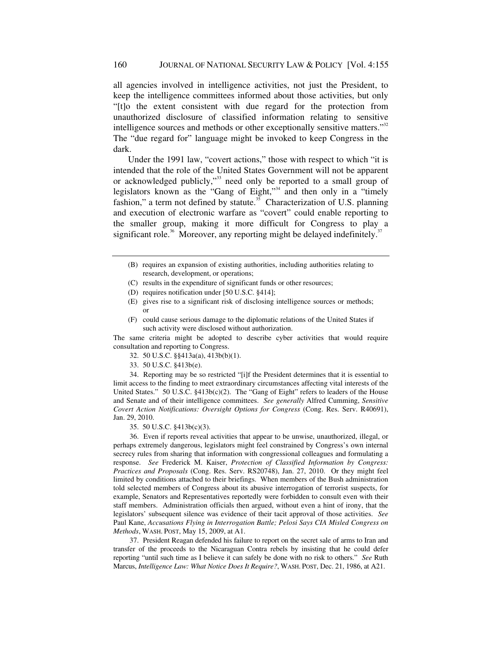all agencies involved in intelligence activities, not just the President, to keep the intelligence committees informed about those activities, but only "[t]o the extent consistent with due regard for the protection from unauthorized disclosure of classified information relating to sensitive intelligence sources and methods or other exceptionally sensitive matters."<sup>32</sup> The "due regard for" language might be invoked to keep Congress in the dark.

Under the 1991 law, "covert actions," those with respect to which "it is intended that the role of the United States Government will not be apparent or acknowledged publicly,"33 need only be reported to a small group of legislators known as the "Gang of Eight,"<sup>34</sup> and then only in a "timely" fashion," a term not defined by statute. $35$  Characterization of U.S. planning and execution of electronic warfare as "covert" could enable reporting to the smaller group, making it more difficult for Congress to play a significant role.<sup>36</sup> Moreover, any reporting might be delayed indefinitely.<sup>37</sup>

- (B) requires an expansion of existing authorities, including authorities relating to research, development, or operations;
- (C) results in the expenditure of significant funds or other resources;
- (D) requires notification under [50 U.S.C. §414];
- (E) gives rise to a significant risk of disclosing intelligence sources or methods; or
- (F) could cause serious damage to the diplomatic relations of the United States if such activity were disclosed without authorization.

The same criteria might be adopted to describe cyber activities that would require consultation and reporting to Congress.

- 32. 50 U.S.C. §§413a(a), 413b(b)(1).
- 33. 50 U.S.C. §413b(e).

34. Reporting may be so restricted "[i]f the President determines that it is essential to limit access to the finding to meet extraordinary circumstances affecting vital interests of the United States." 50 U.S.C. §413b(c)(2). The "Gang of Eight" refers to leaders of the House and Senate and of their intelligence committees. *See generally* Alfred Cumming, *Sensitive Covert Action Notifications: Oversight Options for Congress* (Cong. Res. Serv. R40691), Jan. 29, 2010.

35. 50 U.S.C. §413b(c)(3).

36. Even if reports reveal activities that appear to be unwise, unauthorized, illegal, or perhaps extremely dangerous, legislators might feel constrained by Congress's own internal secrecy rules from sharing that information with congressional colleagues and formulating a response. *See* Frederick M. Kaiser, *Protection of Classified Information by Congress: Practices and Proposals* (Cong. Res. Serv. RS20748), Jan. 27, 2010. Or they might feel limited by conditions attached to their briefings. When members of the Bush administration told selected members of Congress about its abusive interrogation of terrorist suspects, for example, Senators and Representatives reportedly were forbidden to consult even with their staff members. Administration officials then argued, without even a hint of irony, that the legislators' subsequent silence was evidence of their tacit approval of those activities. *See*  Paul Kane, *Accusations Flying in Interrogation Battle; Pelosi Says CIA Misled Congress on Methods*, WASH. POST, May 15, 2009, at A1.

37. President Reagan defended his failure to report on the secret sale of arms to Iran and transfer of the proceeds to the Nicaraguan Contra rebels by insisting that he could defer reporting "until such time as I believe it can safely be done with no risk to others." *See* Ruth Marcus, *Intelligence Law: What Notice Does It Require?*, WASH. POST, Dec. 21, 1986, at A21.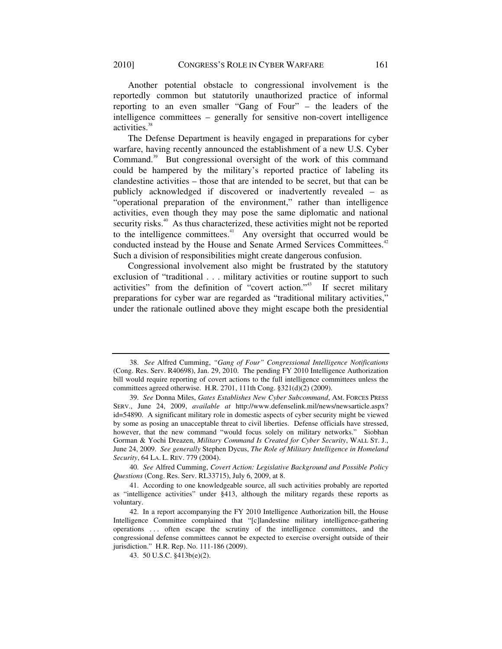Another potential obstacle to congressional involvement is the reportedly common but statutorily unauthorized practice of informal reporting to an even smaller "Gang of Four" – the leaders of the intelligence committees – generally for sensitive non-covert intelligence activities.<sup>38</sup>

The Defense Department is heavily engaged in preparations for cyber warfare, having recently announced the establishment of a new U.S. Cyber Command.<sup>39</sup> But congressional oversight of the work of this command could be hampered by the military's reported practice of labeling its clandestine activities – those that are intended to be secret, but that can be publicly acknowledged if discovered or inadvertently revealed – as "operational preparation of the environment," rather than intelligence activities, even though they may pose the same diplomatic and national security risks.<sup>40</sup> As thus characterized, these activities might not be reported to the intelligence committees.<sup>41</sup> Any oversight that occurred would be conducted instead by the House and Senate Armed Services Committees.<sup>42</sup> Such a division of responsibilities might create dangerous confusion.

Congressional involvement also might be frustrated by the statutory exclusion of "traditional . . . military activities or routine support to such activities" from the definition of "covert action."43 If secret military preparations for cyber war are regarded as "traditional military activities," under the rationale outlined above they might escape both the presidential

40. *See* Alfred Cumming, *Covert Action: Legislative Background and Possible Policy Questions* (Cong. Res. Serv. RL33715), July 6, 2009, at 8.

<sup>38.</sup> *See* Alfred Cumming, *"Gang of Four" Congressional Intelligence Notifications* (Cong. Res. Serv. R40698), Jan. 29, 2010. The pending FY 2010 Intelligence Authorization bill would require reporting of covert actions to the full intelligence committees unless the committees agreed otherwise. H.R. 2701, 111th Cong. §321(d)(2) (2009).

<sup>39.</sup> *See* Donna Miles, *Gates Establishes New Cyber Subcommand*, AM. FORCES PRESS SERV., June 24, 2009, *available at* http://www.defenselink.mil/news/newsarticle.aspx? id=54890. A significant military role in domestic aspects of cyber security might be viewed by some as posing an unacceptable threat to civil liberties. Defense officials have stressed, however, that the new command "would focus solely on military networks." Siobhan Gorman & Yochi Dreazen, *Military Command Is Created for Cyber Security*, WALL ST. J., June 24, 2009. *See generally* Stephen Dycus, *The Role of Military Intelligence in Homeland Security*, 64 LA. L. REV. 779 (2004).

<sup>41.</sup> According to one knowledgeable source, all such activities probably are reported as "intelligence activities" under §413, although the military regards these reports as voluntary.

<sup>42.</sup> In a report accompanying the FY 2010 Intelligence Authorization bill, the House Intelligence Committee complained that "[c]landestine military intelligence-gathering operations . . . often escape the scrutiny of the intelligence committees, and the congressional defense committees cannot be expected to exercise oversight outside of their jurisdiction." H.R. Rep. No. 111-186 (2009).

<sup>43. 50</sup> U.S.C. §413b(e)(2).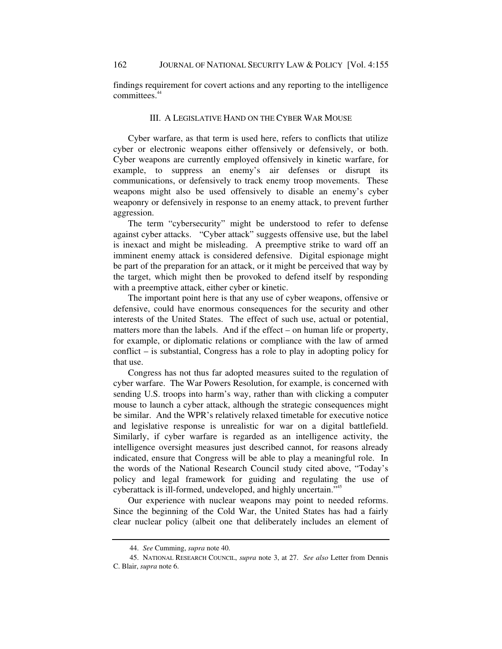findings requirement for covert actions and any reporting to the intelligence committees.<sup>44</sup>

#### III. A LEGISLATIVE HAND ON THE CYBER WAR MOUSE

Cyber warfare, as that term is used here, refers to conflicts that utilize cyber or electronic weapons either offensively or defensively, or both. Cyber weapons are currently employed offensively in kinetic warfare, for example, to suppress an enemy's air defenses or disrupt its communications, or defensively to track enemy troop movements. These weapons might also be used offensively to disable an enemy's cyber weaponry or defensively in response to an enemy attack, to prevent further aggression.

The term "cybersecurity" might be understood to refer to defense against cyber attacks. "Cyber attack" suggests offensive use, but the label is inexact and might be misleading. A preemptive strike to ward off an imminent enemy attack is considered defensive. Digital espionage might be part of the preparation for an attack, or it might be perceived that way by the target, which might then be provoked to defend itself by responding with a preemptive attack, either cyber or kinetic.

The important point here is that any use of cyber weapons, offensive or defensive, could have enormous consequences for the security and other interests of the United States. The effect of such use, actual or potential, matters more than the labels. And if the effect – on human life or property, for example, or diplomatic relations or compliance with the law of armed conflict – is substantial, Congress has a role to play in adopting policy for that use.

Congress has not thus far adopted measures suited to the regulation of cyber warfare. The War Powers Resolution, for example, is concerned with sending U.S. troops into harm's way, rather than with clicking a computer mouse to launch a cyber attack, although the strategic consequences might be similar. And the WPR's relatively relaxed timetable for executive notice and legislative response is unrealistic for war on a digital battlefield. Similarly, if cyber warfare is regarded as an intelligence activity, the intelligence oversight measures just described cannot, for reasons already indicated, ensure that Congress will be able to play a meaningful role. In the words of the National Research Council study cited above, "Today's policy and legal framework for guiding and regulating the use of cyberattack is ill-formed, undeveloped, and highly uncertain."45

Our experience with nuclear weapons may point to needed reforms. Since the beginning of the Cold War, the United States has had a fairly clear nuclear policy (albeit one that deliberately includes an element of

<sup>44.</sup> *See* Cumming, *supra* note 40.

<sup>45.</sup> NATIONAL RESEARCH COUNCIL, *supra* note 3, at 27. *See also* Letter from Dennis C. Blair, *supra* note 6.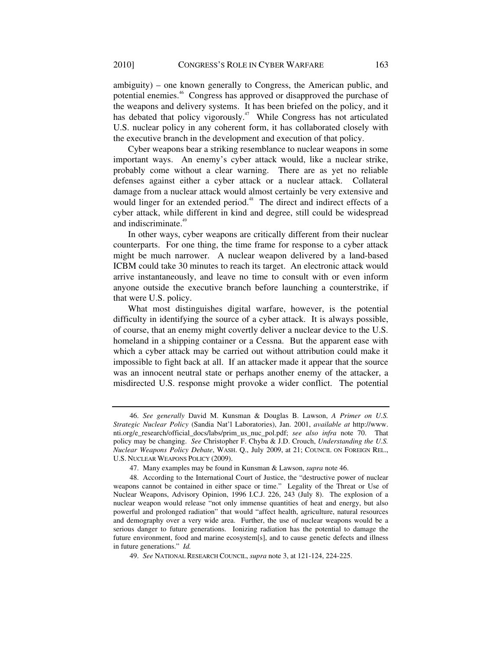ambiguity) – one known generally to Congress, the American public, and potential enemies.46 Congress has approved or disapproved the purchase of the weapons and delivery systems. It has been briefed on the policy, and it has debated that policy vigorously.<sup>47</sup> While Congress has not articulated U.S. nuclear policy in any coherent form, it has collaborated closely with the executive branch in the development and execution of that policy.

Cyber weapons bear a striking resemblance to nuclear weapons in some important ways. An enemy's cyber attack would, like a nuclear strike, probably come without a clear warning. There are as yet no reliable defenses against either a cyber attack or a nuclear attack. Collateral damage from a nuclear attack would almost certainly be very extensive and would linger for an extended period.<sup>48</sup> The direct and indirect effects of a cyber attack, while different in kind and degree, still could be widespread and indiscriminate.<sup>49</sup>

In other ways, cyber weapons are critically different from their nuclear counterparts. For one thing, the time frame for response to a cyber attack might be much narrower. A nuclear weapon delivered by a land-based ICBM could take 30 minutes to reach its target. An electronic attack would arrive instantaneously, and leave no time to consult with or even inform anyone outside the executive branch before launching a counterstrike, if that were U.S. policy.

What most distinguishes digital warfare, however, is the potential difficulty in identifying the source of a cyber attack. It is always possible, of course, that an enemy might covertly deliver a nuclear device to the U.S. homeland in a shipping container or a Cessna. But the apparent ease with which a cyber attack may be carried out without attribution could make it impossible to fight back at all. If an attacker made it appear that the source was an innocent neutral state or perhaps another enemy of the attacker, a misdirected U.S. response might provoke a wider conflict. The potential

<sup>46.</sup> *See generally* David M. Kunsman & Douglas B. Lawson, *A Primer on U.S. Strategic Nuclear Policy* (Sandia Nat'l Laboratories), Jan. 2001, *available at* http://www. nti.org/e\_research/official\_docs/labs/prim\_us\_nuc\_pol.pdf; *see also infra* note 70. That policy may be changing. *See* Christopher F. Chyba & J.D. Crouch, *Understanding the U.S. Nuclear Weapons Policy Debate*, WASH. Q., July 2009, at 21; COUNCIL ON FOREIGN REL., U.S. NUCLEAR WEAPONS POLICY (2009).

<sup>47.</sup> Many examples may be found in Kunsman & Lawson, *supra* note 46.

<sup>48.</sup> According to the International Court of Justice, the "destructive power of nuclear weapons cannot be contained in either space or time." Legality of the Threat or Use of Nuclear Weapons, Advisory Opinion, 1996 I.C.J. 226, 243 (July 8). The explosion of a nuclear weapon would release "not only immense quantities of heat and energy, but also powerful and prolonged radiation" that would "affect health, agriculture, natural resources and demography over a very wide area. Further, the use of nuclear weapons would be a serious danger to future generations. Ionizing radiation has the potential to damage the future environment, food and marine ecosystem[s], and to cause genetic defects and illness in future generations." *Id.*

<sup>49.</sup> *See* NATIONAL RESEARCH COUNCIL, *supra* note 3, at 121-124, 224-225.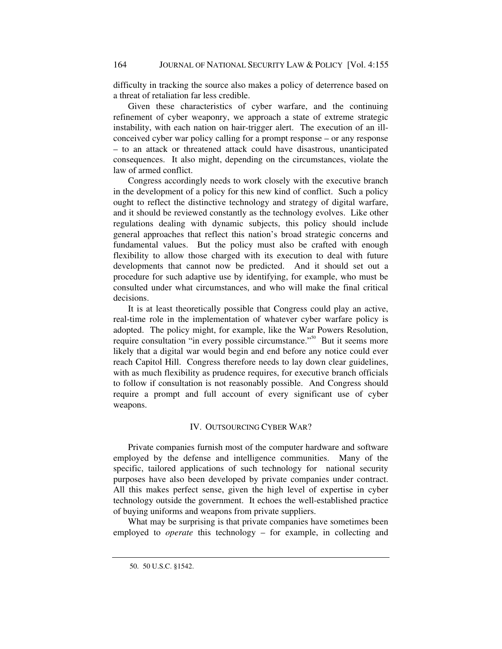difficulty in tracking the source also makes a policy of deterrence based on a threat of retaliation far less credible.

Given these characteristics of cyber warfare, and the continuing refinement of cyber weaponry, we approach a state of extreme strategic instability, with each nation on hair-trigger alert. The execution of an illconceived cyber war policy calling for a prompt response – or any response – to an attack or threatened attack could have disastrous, unanticipated consequences. It also might, depending on the circumstances, violate the law of armed conflict.

Congress accordingly needs to work closely with the executive branch in the development of a policy for this new kind of conflict. Such a policy ought to reflect the distinctive technology and strategy of digital warfare, and it should be reviewed constantly as the technology evolves. Like other regulations dealing with dynamic subjects, this policy should include general approaches that reflect this nation's broad strategic concerns and fundamental values. But the policy must also be crafted with enough flexibility to allow those charged with its execution to deal with future developments that cannot now be predicted. And it should set out a procedure for such adaptive use by identifying, for example, who must be consulted under what circumstances, and who will make the final critical decisions.

It is at least theoretically possible that Congress could play an active, real-time role in the implementation of whatever cyber warfare policy is adopted. The policy might, for example, like the War Powers Resolution, require consultation "in every possible circumstance."<sup>50</sup> But it seems more likely that a digital war would begin and end before any notice could ever reach Capitol Hill. Congress therefore needs to lay down clear guidelines, with as much flexibility as prudence requires, for executive branch officials to follow if consultation is not reasonably possible. And Congress should require a prompt and full account of every significant use of cyber weapons.

### IV. OUTSOURCING CYBER WAR?

Private companies furnish most of the computer hardware and software employed by the defense and intelligence communities. Many of the specific, tailored applications of such technology for national security purposes have also been developed by private companies under contract. All this makes perfect sense, given the high level of expertise in cyber technology outside the government. It echoes the well-established practice of buying uniforms and weapons from private suppliers.

What may be surprising is that private companies have sometimes been employed to *operate* this technology – for example, in collecting and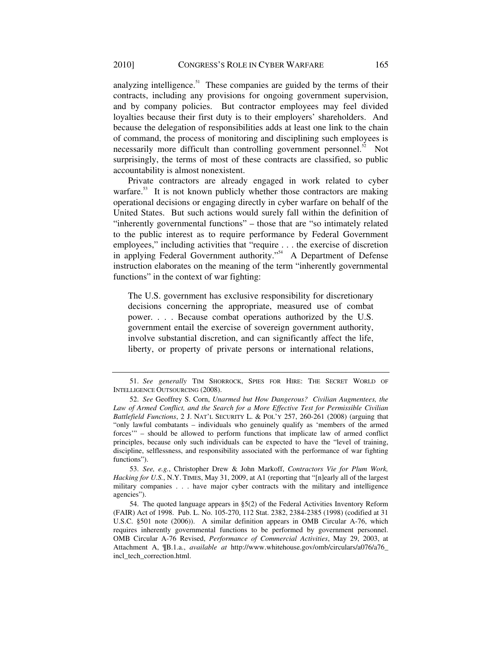analyzing intelligence.<sup>51</sup> These companies are guided by the terms of their contracts, including any provisions for ongoing government supervision, and by company policies. But contractor employees may feel divided loyalties because their first duty is to their employers' shareholders. And because the delegation of responsibilities adds at least one link to the chain of command, the process of monitoring and disciplining such employees is necessarily more difficult than controlling government personnel. $52$  Not surprisingly, the terms of most of these contracts are classified, so public accountability is almost nonexistent.

Private contractors are already engaged in work related to cyber warfare.<sup>53</sup> It is not known publicly whether those contractors are making operational decisions or engaging directly in cyber warfare on behalf of the United States. But such actions would surely fall within the definition of "inherently governmental functions" – those that are "so intimately related to the public interest as to require performance by Federal Government employees," including activities that "require . . . the exercise of discretion in applying Federal Government authority."<sup>54</sup> A Department of Defense instruction elaborates on the meaning of the term "inherently governmental functions" in the context of war fighting:

The U.S. government has exclusive responsibility for discretionary decisions concerning the appropriate, measured use of combat power. . . . Because combat operations authorized by the U.S. government entail the exercise of sovereign government authority, involve substantial discretion, and can significantly affect the life, liberty, or property of private persons or international relations,

<sup>51.</sup> *See generally* TIM SHORROCK, SPIES FOR HIRE: THE SECRET WORLD OF INTELLIGENCE OUTSOURCING (2008).

<sup>52.</sup> *See* Geoffrey S. Corn, *Unarmed but How Dangerous? Civilian Augmentees, the Law of Armed Conflict, and the Search for a More Effective Test for Permissible Civilian Battlefield Functions*, 2 J. NAT'L SECURITY L. & POL'Y 257, 260-261 (2008) (arguing that "only lawful combatants – individuals who genuinely qualify as 'members of the armed forces'" – should be allowed to perform functions that implicate law of armed conflict principles, because only such individuals can be expected to have the "level of training, discipline, selflessness, and responsibility associated with the performance of war fighting functions").

<sup>53.</sup> *See, e.g.*, Christopher Drew & John Markoff, *Contractors Vie for Plum Work, Hacking for U.S.*, N.Y. TIMES, May 31, 2009, at A1 (reporting that "[n]early all of the largest military companies . . . have major cyber contracts with the military and intelligence agencies").

<sup>54.</sup> The quoted language appears in §5(2) of the Federal Activities Inventory Reform (FAIR) Act of 1998. Pub. L. No. 105-270, 112 Stat. 2382, 2384-2385 (1998) (codified at 31 U.S.C. §501 note (2006)). A similar definition appears in OMB Circular A-76, which requires inherently governmental functions to be performed by government personnel. OMB Circular A-76 Revised, *Performance of Commercial Activities*, May 29, 2003, at Attachment A, ¶B.1.a., *available at* http://www.whitehouse.gov/omb/circulars/a076/a76\_ incl\_tech\_correction.html.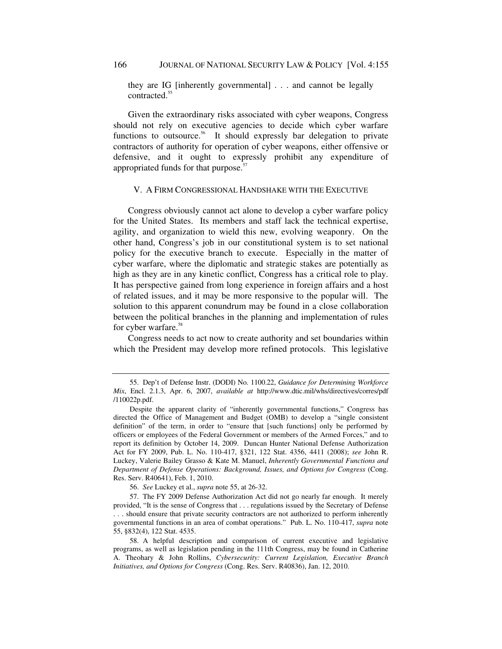they are IG [inherently governmental] . . . and cannot be legally contracted.<sup>55</sup>

Given the extraordinary risks associated with cyber weapons, Congress should not rely on executive agencies to decide which cyber warfare functions to outsource.<sup>56</sup> It should expressly bar delegation to private contractors of authority for operation of cyber weapons, either offensive or defensive, and it ought to expressly prohibit any expenditure of appropriated funds for that purpose. $57$ 

#### V. A FIRM CONGRESSIONAL HANDSHAKE WITH THE EXECUTIVE

Congress obviously cannot act alone to develop a cyber warfare policy for the United States. Its members and staff lack the technical expertise, agility, and organization to wield this new, evolving weaponry. On the other hand, Congress's job in our constitutional system is to set national policy for the executive branch to execute. Especially in the matter of cyber warfare, where the diplomatic and strategic stakes are potentially as high as they are in any kinetic conflict, Congress has a critical role to play. It has perspective gained from long experience in foreign affairs and a host of related issues, and it may be more responsive to the popular will. The solution to this apparent conundrum may be found in a close collaboration between the political branches in the planning and implementation of rules for cyber warfare.<sup>58</sup>

Congress needs to act now to create authority and set boundaries within which the President may develop more refined protocols. This legislative

56. *See* Luckey et al., *supra* note 55, at 26-32.

57. The FY 2009 Defense Authorization Act did not go nearly far enough. It merely provided, "It is the sense of Congress that . . . regulations issued by the Secretary of Defense . . . should ensure that private security contractors are not authorized to perform inherently governmental functions in an area of combat operations." Pub. L. No. 110-417, *supra* note 55, §832(4), 122 Stat. 4535.

<sup>55.</sup> Dep't of Defense Instr. (DODI) No. 1100.22, *Guidance for Determining Workforce Mix*, Encl. 2.1.3, Apr. 6, 2007, *available at* http://www.dtic.mil/whs/directives/corres/pdf /110022p.pdf.

Despite the apparent clarity of "inherently governmental functions," Congress has directed the Office of Management and Budget (OMB) to develop a "single consistent definition" of the term, in order to "ensure that [such functions] only be performed by officers or employees of the Federal Government or members of the Armed Forces," and to report its definition by October 14, 2009. Duncan Hunter National Defense Authorization Act for FY 2009, Pub. L. No. 110-417, §321, 122 Stat. 4356, 4411 (2008); *see* John R. Luckey, Valerie Bailey Grasso & Kate M. Manuel, *Inherently Governmental Functions and Department of Defense Operations: Background, Issues, and Options for Congress* (Cong. Res. Serv. R40641), Feb. 1, 2010.

<sup>58.</sup> A helpful description and comparison of current executive and legislative programs, as well as legislation pending in the 111th Congress, may be found in Catherine A. Theohary & John Rollins, *Cybersecurity: Current Legislation, Executive Branch Initiatives, and Options for Congress* (Cong. Res. Serv. R40836), Jan. 12, 2010.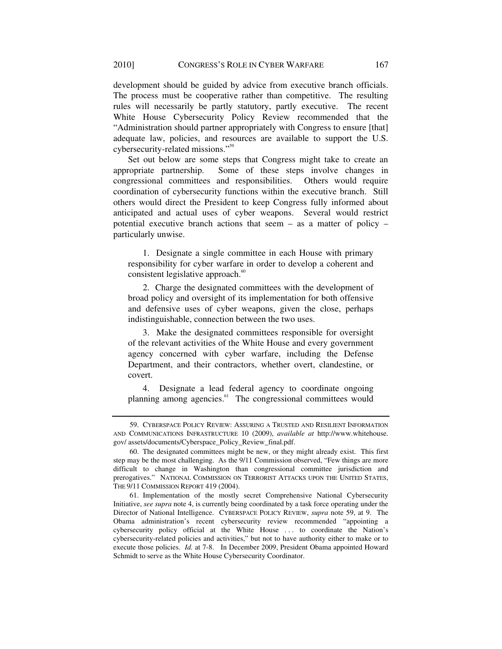development should be guided by advice from executive branch officials. The process must be cooperative rather than competitive. The resulting rules will necessarily be partly statutory, partly executive. The recent White House Cybersecurity Policy Review recommended that the "Administration should partner appropriately with Congress to ensure [that] adequate law, policies, and resources are available to support the U.S. cybersecurity-related missions."59

Set out below are some steps that Congress might take to create an appropriate partnership. Some of these steps involve changes in congressional committees and responsibilities. Others would require coordination of cybersecurity functions within the executive branch. Still others would direct the President to keep Congress fully informed about anticipated and actual uses of cyber weapons. Several would restrict potential executive branch actions that seem – as a matter of policy – particularly unwise.

1. Designate a single committee in each House with primary responsibility for cyber warfare in order to develop a coherent and consistent legislative approach.<sup>60</sup>

2. Charge the designated committees with the development of broad policy and oversight of its implementation for both offensive and defensive uses of cyber weapons, given the close, perhaps indistinguishable, connection between the two uses.

3. Make the designated committees responsible for oversight of the relevant activities of the White House and every government agency concerned with cyber warfare, including the Defense Department, and their contractors, whether overt, clandestine, or covert.

4. Designate a lead federal agency to coordinate ongoing planning among agencies.<sup>61</sup> The congressional committees would

<sup>59.</sup> CYBERSPACE POLICY REVIEW: ASSURING A TRUSTED AND RESILIENT INFORMATION AND COMMUNICATIONS INFRASTRUCTURE 10 (2009), *available at* http://www.whitehouse. gov/ assets/documents/Cyberspace\_Policy\_Review\_final.pdf.

<sup>60.</sup> The designated committees might be new, or they might already exist. This first step may be the most challenging. As the 9/11 Commission observed, "Few things are more difficult to change in Washington than congressional committee jurisdiction and prerogatives." NATIONAL COMMISSION ON TERRORIST ATTACKS UPON THE UNITED STATES, THE 9/11 COMMISSION REPORT 419 (2004).

<sup>61.</sup> Implementation of the mostly secret Comprehensive National Cybersecurity Initiative, *see supra* note 4, is currently being coordinated by a task force operating under the Director of National Intelligence. CYBERSPACE POLICY REVIEW, *supra* note 59, at 9. The Obama administration's recent cybersecurity review recommended "appointing a cybersecurity policy official at the White House . . . to coordinate the Nation's cybersecurity-related policies and activities," but not to have authority either to make or to execute those policies. *Id.* at 7-8. In December 2009, President Obama appointed Howard Schmidt to serve as the White House Cybersecurity Coordinator.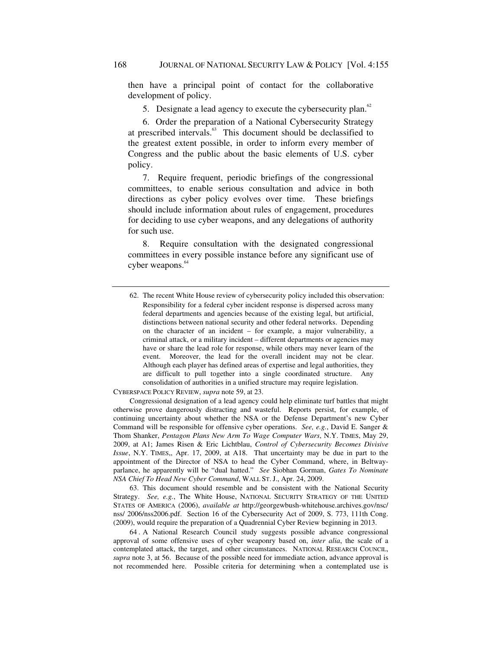then have a principal point of contact for the collaborative development of policy.

5. Designate a lead agency to execute the cybersecurity plan.<sup>62</sup>

6. Order the preparation of a National Cybersecurity Strategy at prescribed intervals.<sup>63</sup> This document should be declassified to the greatest extent possible, in order to inform every member of Congress and the public about the basic elements of U.S. cyber policy.

7. Require frequent, periodic briefings of the congressional committees, to enable serious consultation and advice in both directions as cyber policy evolves over time. These briefings should include information about rules of engagement, procedures for deciding to use cyber weapons, and any delegations of authority for such use.

8. Require consultation with the designated congressional committees in every possible instance before any significant use of cyber weapons.<sup>64</sup>

CYBERSPACE POLICY REVIEW, *supra* note 59, at 23.

Congressional designation of a lead agency could help eliminate turf battles that might otherwise prove dangerously distracting and wasteful. Reports persist, for example, of continuing uncertainty about whether the NSA or the Defense Department's new Cyber Command will be responsible for offensive cyber operations. *See, e.g.*, David E. Sanger & Thom Shanker, *Pentagon Plans New Arm To Wage Computer Wars*, N.Y. TIMES, May 29, 2009, at A1; James Risen & Eric Lichtblau, *Control of Cybersecurity Becomes Divisive Issue*, N.Y. TIMES,, Apr. 17, 2009, at A18. That uncertainty may be due in part to the appointment of the Director of NSA to head the Cyber Command, where, in Beltwayparlance, he apparently will be "dual hatted." *See* Siobhan Gorman, *Gates To Nominate NSA Chief To Head New Cyber Command*, WALL ST.J., Apr. 24, 2009.

63. This document should resemble and be consistent with the National Security Strategy. See, e.g., The White House, NATIONAL SECURITY STRATEGY OF THE UNITED STATES OF AMERICA (2006), *available at* http://georgewbush-whitehouse.archives.gov/nsc/ nss/ 2006/nss2006.pdf. Section 16 of the Cybersecurity Act of 2009, S. 773, 111th Cong. (2009), would require the preparation of a Quadrennial Cyber Review beginning in 2013.

64 . A National Research Council study suggests possible advance congressional approval of some offensive uses of cyber weaponry based on, *inter alia*, the scale of a contemplated attack, the target, and other circumstances. NATIONAL RESEARCH COUNCIL, *supra* note 3, at 56. Because of the possible need for immediate action, advance approval is not recommended here. Possible criteria for determining when a contemplated use is

<sup>62.</sup> The recent White House review of cybersecurity policy included this observation: Responsibility for a federal cyber incident response is dispersed across many federal departments and agencies because of the existing legal, but artificial, distinctions between national security and other federal networks. Depending on the character of an incident – for example, a major vulnerability, a criminal attack, or a military incident – different departments or agencies may have or share the lead role for response, while others may never learn of the event. Moreover, the lead for the overall incident may not be clear. Although each player has defined areas of expertise and legal authorities, they are difficult to pull together into a single coordinated structure. Any consolidation of authorities in a unified structure may require legislation.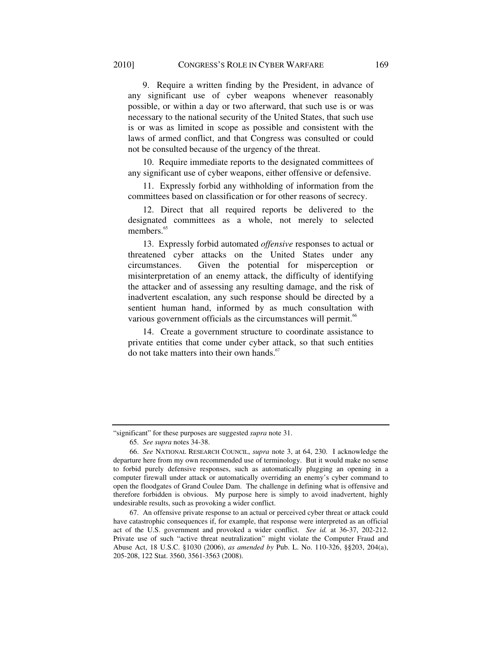9. Require a written finding by the President, in advance of any significant use of cyber weapons whenever reasonably possible, or within a day or two afterward, that such use is or was necessary to the national security of the United States, that such use is or was as limited in scope as possible and consistent with the laws of armed conflict, and that Congress was consulted or could not be consulted because of the urgency of the threat.

10. Require immediate reports to the designated committees of any significant use of cyber weapons, either offensive or defensive.

11. Expressly forbid any withholding of information from the committees based on classification or for other reasons of secrecy.

12. Direct that all required reports be delivered to the designated committees as a whole, not merely to selected members.<sup>65</sup>

13. Expressly forbid automated *offensive* responses to actual or threatened cyber attacks on the United States under any circumstances. Given the potential for misperception or misinterpretation of an enemy attack, the difficulty of identifying the attacker and of assessing any resulting damage, and the risk of inadvertent escalation, any such response should be directed by a sentient human hand, informed by as much consultation with various government officials as the circumstances will permit.<sup>66</sup>

14. Create a government structure to coordinate assistance to private entities that come under cyber attack, so that such entities do not take matters into their own hands. $67$ 

<sup>&</sup>quot;significant" for these purposes are suggested *supra* note 31.

<sup>65.</sup> *See supra* notes 34-38.

<sup>66.</sup> *See* NATIONAL RESEARCH COUNCIL, *supra* note 3, at 64, 230. I acknowledge the departure here from my own recommended use of terminology. But it would make no sense to forbid purely defensive responses, such as automatically plugging an opening in a computer firewall under attack or automatically overriding an enemy's cyber command to open the floodgates of Grand Coulee Dam. The challenge in defining what is offensive and therefore forbidden is obvious. My purpose here is simply to avoid inadvertent, highly undesirable results, such as provoking a wider conflict.

<sup>67.</sup> An offensive private response to an actual or perceived cyber threat or attack could have catastrophic consequences if, for example, that response were interpreted as an official act of the U.S. government and provoked a wider conflict. *See id.* at 36-37, 202-212. Private use of such "active threat neutralization" might violate the Computer Fraud and Abuse Act, 18 U.S.C. §1030 (2006), *as amended by* Pub. L. No. 110-326, §§203, 204(a), 205-208, 122 Stat. 3560, 3561-3563 (2008).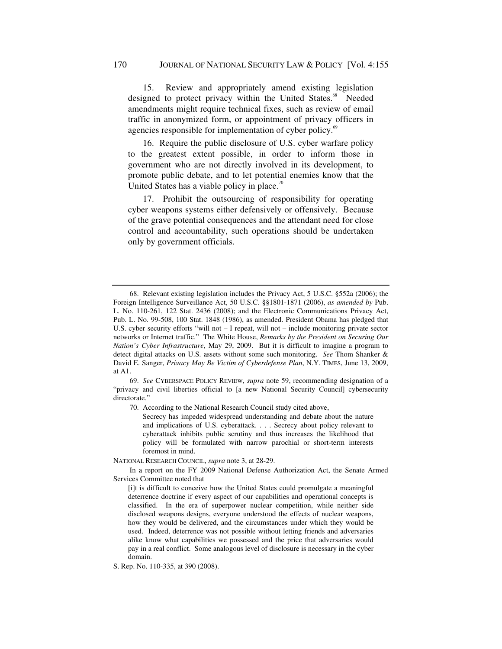15. Review and appropriately amend existing legislation designed to protect privacy within the United States.<sup>68</sup> Needed amendments might require technical fixes, such as review of email traffic in anonymized form, or appointment of privacy officers in agencies responsible for implementation of cyber policy.<sup>69</sup>

16. Require the public disclosure of U.S. cyber warfare policy to the greatest extent possible, in order to inform those in government who are not directly involved in its development, to promote public debate, and to let potential enemies know that the United States has a viable policy in place.<sup>70</sup>

17. Prohibit the outsourcing of responsibility for operating cyber weapons systems either defensively or offensively. Because of the grave potential consequences and the attendant need for close control and accountability, such operations should be undertaken only by government officials.

69. *See* CYBERSPACE POLICY REVIEW, *supra* note 59, recommending designation of a "privacy and civil liberties official to [a new National Security Council] cybersecurity directorate."

70. According to the National Research Council study cited above,

Secrecy has impeded widespread understanding and debate about the nature and implications of U.S. cyberattack. . . . Secrecy about policy relevant to cyberattack inhibits public scrutiny and thus increases the likelihood that policy will be formulated with narrow parochial or short-term interests foremost in mind.

NATIONAL RESEARCH COUNCIL, *supra* note 3, at 28-29.

In a report on the FY 2009 National Defense Authorization Act, the Senate Armed Services Committee noted that

[i]t is difficult to conceive how the United States could promulgate a meaningful deterrence doctrine if every aspect of our capabilities and operational concepts is classified. In the era of superpower nuclear competition, while neither side disclosed weapons designs, everyone understood the effects of nuclear weapons, how they would be delivered, and the circumstances under which they would be used. Indeed, deterrence was not possible without letting friends and adversaries alike know what capabilities we possessed and the price that adversaries would pay in a real conflict. Some analogous level of disclosure is necessary in the cyber domain.

S. Rep. No. 110-335, at 390 (2008).

<sup>68.</sup> Relevant existing legislation includes the Privacy Act, 5 U.S.C. §552a (2006); the Foreign Intelligence Surveillance Act, 50 U.S.C. §§1801-1871 (2006), *as amended by* Pub. L. No. 110-261, 122 Stat. 2436 (2008); and the Electronic Communications Privacy Act, Pub. L. No. 99-508, 100 Stat. 1848 (1986), as amended. President Obama has pledged that U.S. cyber security efforts "will not – I repeat, will not – include monitoring private sector networks or Internet traffic." The White House, *Remarks by the President on Securing Our Nation's Cyber Infrastructure*, May 29, 2009. But it is difficult to imagine a program to detect digital attacks on U.S. assets without some such monitoring. *See* Thom Shanker & David E. Sanger, *Privacy May Be Victim of Cyberdefense Plan*, N.Y. TIMES, June 13, 2009, at A1.